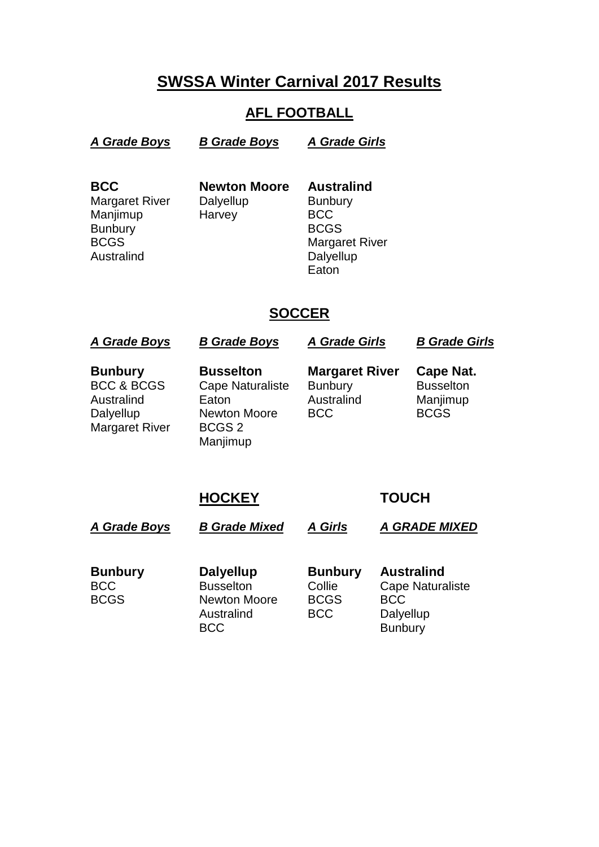# **SWSSA Winter Carnival 2017 Results**

### **AFL FOOTBALL**

*A Grade Boys B Grade Boys A Grade Girls* 

**BCC Newton Moore Australind** Margaret River Dalyellup Bunbury Manjimup Harvey BCC Bunbury BCGS

BCGS Margaret River Australind Dalyellup **Eaton** 

## **SOCCER**

*A Grade Boys B Grade Boys A Grade Girls B Grade Girls* **Bunbury Busselton Margaret River Cape Nat. Cape Naturaliste** Australind Eaton **Example Australind** Manjimup<br>Dalvellup Newton Moore BCC BCGS Dalyellup Newton Moore Margaret River BCGS 2 Manjimup

## **HOCKEY TOUCH**

*A Grade Boys B Grade Mixed A Girls A GRADE MIXED*

**Bunbury Dalyellup Bunbury Australind** BCC Busselton Collie Cape Naturaliste<br>
BCGS Newton Moore BCGS BCC Newton Moore BCGS BCC Australind BCC Dalyellup BCC Bunbury